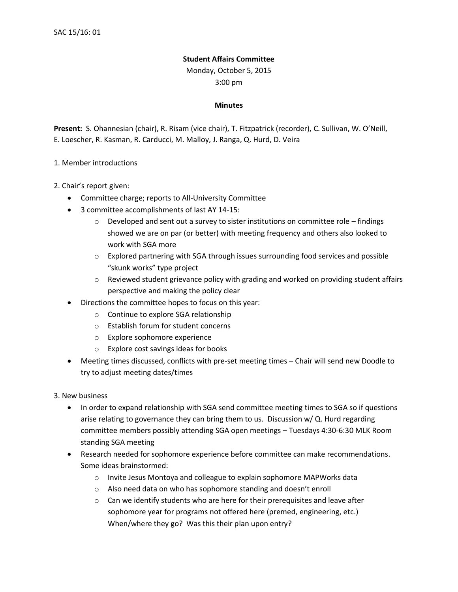## **Student Affairs Committee**

Monday, October 5, 2015

3:00 pm

## **Minutes**

**Present:** S. Ohannesian (chair), R. Risam (vice chair), T. Fitzpatrick (recorder), C. Sullivan, W. O'Neill, E. Loescher, R. Kasman, R. Carducci, M. Malloy, J. Ranga, Q. Hurd, D. Veira

## 1. Member introductions

- 2. Chair's report given:
	- Committee charge; reports to All-University Committee
	- 3 committee accomplishments of last AY 14-15:
		- $\circ$  Developed and sent out a survey to sister institutions on committee role findings showed we are on par (or better) with meeting frequency and others also looked to work with SGA more
		- $\circ$  Explored partnering with SGA through issues surrounding food services and possible "skunk works" type project
		- $\circ$  Reviewed student grievance policy with grading and worked on providing student affairs perspective and making the policy clear
	- Directions the committee hopes to focus on this year:
		- o Continue to explore SGA relationship
		- o Establish forum for student concerns
		- o Explore sophomore experience
		- o Explore cost savings ideas for books
	- Meeting times discussed, conflicts with pre-set meeting times Chair will send new Doodle to try to adjust meeting dates/times

3. New business

- In order to expand relationship with SGA send committee meeting times to SGA so if questions arise relating to governance they can bring them to us. Discussion w/ Q. Hurd regarding committee members possibly attending SGA open meetings – Tuesdays 4:30-6:30 MLK Room standing SGA meeting
- Research needed for sophomore experience before committee can make recommendations. Some ideas brainstormed:
	- o Invite Jesus Montoya and colleague to explain sophomore MAPWorks data
	- o Also need data on who has sophomore standing and doesn't enroll
	- $\circ$  Can we identify students who are here for their prerequisites and leave after sophomore year for programs not offered here (premed, engineering, etc.) When/where they go? Was this their plan upon entry?